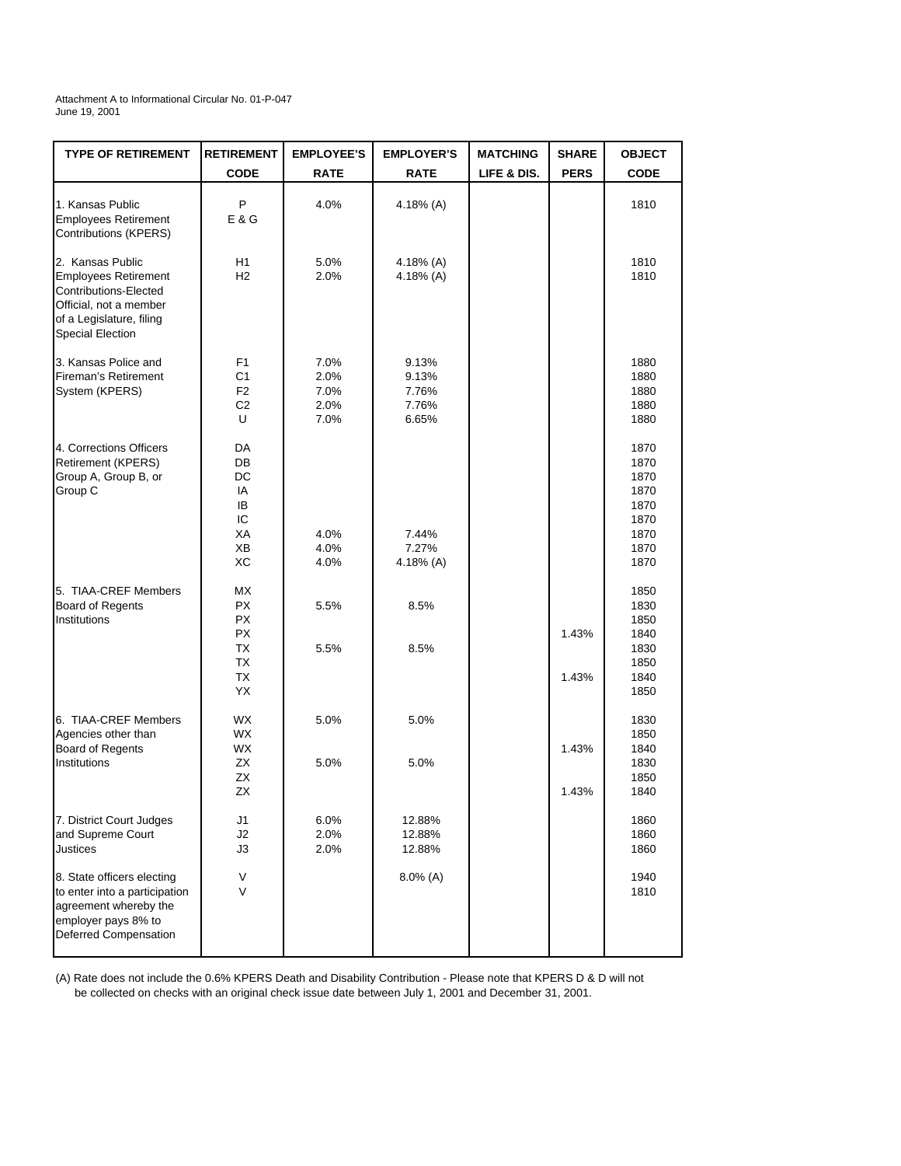Attachment A to Informational Circular No. 01-P-047 June 19, 2001

| <b>TYPE OF RETIREMENT</b>                                                                                                                          | <b>RETIREMENT</b>                                  | <b>EMPLOYEE'S</b>                    | <b>EMPLOYER'S</b>                         | <b>MATCHING</b> | <b>SHARE</b>   | <b>OBJECT</b>                                                        |
|----------------------------------------------------------------------------------------------------------------------------------------------------|----------------------------------------------------|--------------------------------------|-------------------------------------------|-----------------|----------------|----------------------------------------------------------------------|
|                                                                                                                                                    | <b>CODE</b>                                        | <b>RATE</b>                          | <b>RATE</b>                               | LIFE & DIS.     | <b>PERS</b>    | <b>CODE</b>                                                          |
| 1. Kansas Public<br><b>Employees Retirement</b><br>Contributions (KPERS)                                                                           | P<br>E & G                                         | 4.0%                                 | 4.18% $(A)$                               |                 |                | 1810                                                                 |
| 2. Kansas Public<br><b>Employees Retirement</b><br>Contributions-Elected<br>Official, not a member<br>of a Legislature, filing<br>Special Election | H1<br>H2                                           | 5.0%<br>2.0%                         | 4.18% (A)<br>4.18% $(A)$                  |                 |                | 1810<br>1810                                                         |
| 3. Kansas Police and<br>Fireman's Retirement<br>System (KPERS)                                                                                     | F1<br>C1<br>F <sub>2</sub><br>C2<br>U              | 7.0%<br>2.0%<br>7.0%<br>2.0%<br>7.0% | 9.13%<br>9.13%<br>7.76%<br>7.76%<br>6.65% |                 |                | 1880<br>1880<br>1880<br>1880<br>1880                                 |
| 4. Corrections Officers<br>Retirement (KPERS)<br>Group A, Group B, or<br>Group C                                                                   | DA<br>DB<br>DC<br>IA<br>IB<br>IC<br>XA<br>ХB<br>ХC | 4.0%<br>4.0%<br>4.0%                 | 7.44%<br>7.27%<br>4.18% $(A)$             |                 |                | 1870<br>1870<br>1870<br>1870<br>1870<br>1870<br>1870<br>1870<br>1870 |
| 5. TIAA-CREF Members<br>Board of Regents<br>Institutions                                                                                           | МX<br>РX<br><b>PX</b><br>РX<br>TX<br>TX<br>TX      | 5.5%<br>5.5%                         | 8.5%<br>8.5%                              |                 | 1.43%<br>1.43% | 1850<br>1830<br>1850<br>1840<br>1830<br>1850<br>1840                 |
| 6. TIAA-CREF Members<br>Agencies other than<br>Board of Regents<br>Institutions                                                                    | YX<br><b>WX</b><br>WX<br>WX<br>ZX<br>ZX<br>ZX      | 5.0%<br>5.0%                         | 5.0%<br>5.0%                              |                 | 1.43%<br>1.43% | 1850<br>1830<br>1850<br>1840<br>1830<br>1850<br>1840                 |
| 7. District Court Judges<br>and Supreme Court<br>Justices                                                                                          | J1<br>J2<br>J3                                     | $6.0\%$<br>2.0%<br>2.0%              | 12.88%<br>12.88%<br>12.88%                |                 |                | 1860<br>1860<br>1860                                                 |
| 8. State officers electing<br>to enter into a participation<br>agreement whereby the<br>employer pays 8% to<br>Deferred Compensation               | V<br>V                                             |                                      | $8.0\%$ (A)                               |                 |                | 1940<br>1810                                                         |

(A) Rate does not include the 0.6% KPERS Death and Disability Contribution - Please note that KPERS D & D will not be collected on checks with an original check issue date between July 1, 2001 and December 31, 2001.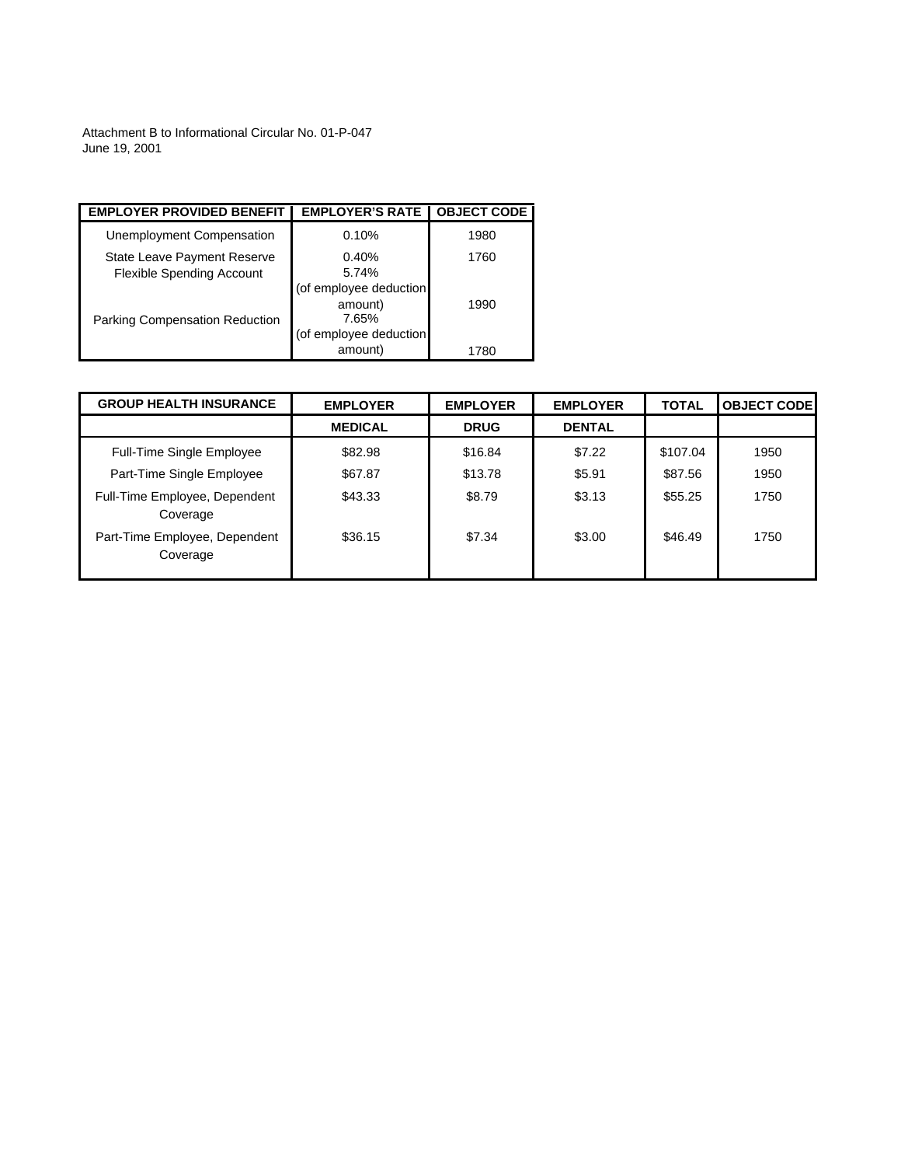Attachment B to Informational Circular No. 01-P-047 June 19, 2001

| <b>EMPLOYER PROVIDED BENEFIT</b>                                | <b>EMPLOYER'S RATE</b>                                               | <b>OBJECT CODE</b> |
|-----------------------------------------------------------------|----------------------------------------------------------------------|--------------------|
| Unemployment Compensation                                       | 0.10%                                                                | 1980               |
| State Leave Payment Reserve<br><b>Flexible Spending Account</b> | 0.40%<br>5.74%                                                       | 1760               |
| <b>Parking Compensation Reduction</b>                           | (of employee deduction<br>amount)<br>7.65%<br>(of employee deduction | 1990               |
|                                                                 | amount)                                                              | 1780               |

| <b>GROUP HEALTH INSURANCE</b>             | <b>EMPLOYER</b> | <b>EMPLOYER</b> | <b>EMPLOYER</b> | <b>TOTAL</b> | <b>OBJECT CODE</b> |
|-------------------------------------------|-----------------|-----------------|-----------------|--------------|--------------------|
|                                           | <b>MEDICAL</b>  | <b>DRUG</b>     | <b>DENTAL</b>   |              |                    |
| <b>Full-Time Single Employee</b>          | \$82.98         | \$16.84         | \$7.22          | \$107.04     | 1950               |
| Part-Time Single Employee                 | \$67.87         | \$13.78         | \$5.91          | \$87.56      | 1950               |
| Full-Time Employee, Dependent<br>Coverage | \$43.33         | \$8.79          | \$3.13          | \$55.25      | 1750               |
| Part-Time Employee, Dependent<br>Coverage | \$36.15         | \$7.34          | \$3.00          | \$46.49      | 1750               |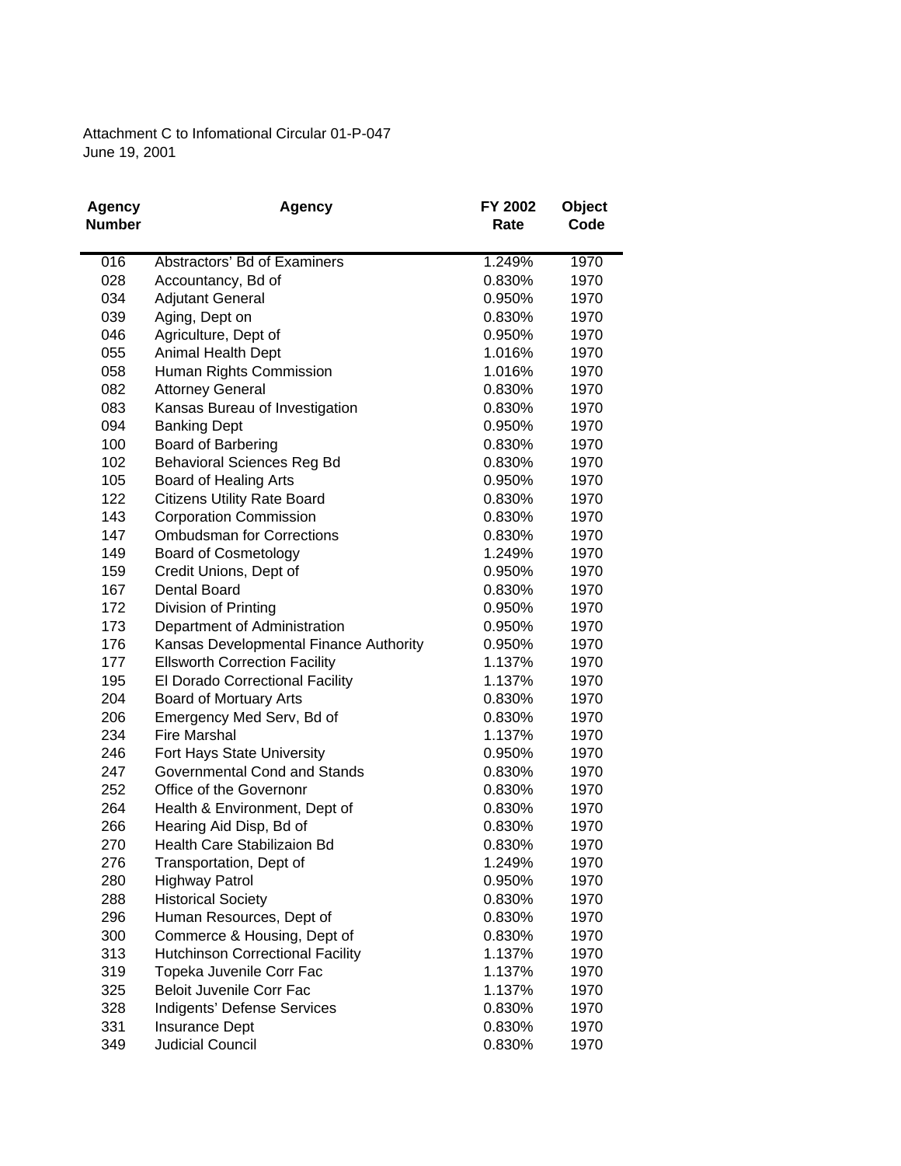Attachment C to Infomational Circular 01-P-047 June 19, 2001

| <b>Agency</b> | <b>Agency</b>                           | FY 2002 | <b>Object</b> |
|---------------|-----------------------------------------|---------|---------------|
| <b>Number</b> |                                         | Rate    | Code          |
|               |                                         |         |               |
| 016           | Abstractors' Bd of Examiners            | 1.249%  | 1970          |
| 028           | Accountancy, Bd of                      | 0.830%  | 1970          |
| 034           | <b>Adjutant General</b>                 | 0.950%  | 1970          |
| 039           | Aging, Dept on                          | 0.830%  | 1970          |
| 046           | Agriculture, Dept of                    | 0.950%  | 1970          |
| 055           | Animal Health Dept                      | 1.016%  | 1970          |
| 058           | Human Rights Commission                 | 1.016%  | 1970          |
| 082           | <b>Attorney General</b>                 | 0.830%  | 1970          |
| 083           | Kansas Bureau of Investigation          | 0.830%  | 1970          |
| 094           | <b>Banking Dept</b>                     | 0.950%  | 1970          |
| 100           | Board of Barbering                      | 0.830%  | 1970          |
| 102           | <b>Behavioral Sciences Reg Bd</b>       | 0.830%  | 1970          |
| 105           | Board of Healing Arts                   | 0.950%  | 1970          |
| 122           | <b>Citizens Utility Rate Board</b>      | 0.830%  | 1970          |
| 143           | <b>Corporation Commission</b>           | 0.830%  | 1970          |
| 147           | <b>Ombudsman for Corrections</b>        | 0.830%  | 1970          |
| 149           | <b>Board of Cosmetology</b>             | 1.249%  | 1970          |
| 159           | Credit Unions, Dept of                  | 0.950%  | 1970          |
| 167           | Dental Board                            | 0.830%  | 1970          |
| 172           | Division of Printing                    | 0.950%  | 1970          |
| 173           | Department of Administration            | 0.950%  | 1970          |
| 176           | Kansas Developmental Finance Authority  | 0.950%  | 1970          |
| 177           | <b>Ellsworth Correction Facility</b>    | 1.137%  | 1970          |
| 195           | El Dorado Correctional Facility         | 1.137%  | 1970          |
| 204           | Board of Mortuary Arts                  | 0.830%  | 1970          |
| 206           | Emergency Med Serv, Bd of               | 0.830%  | 1970          |
| 234           | <b>Fire Marshal</b>                     | 1.137%  | 1970          |
| 246           | Fort Hays State University              | 0.950%  | 1970          |
| 247           | Governmental Cond and Stands            | 0.830%  | 1970          |
| 252           | Office of the Governonr                 | 0.830%  | 1970          |
| 264           | Health & Environment, Dept of           | 0.830%  | 1970          |
| 266           | Hearing Aid Disp, Bd of                 | 0.830%  | 1970          |
| 270           | Health Care Stabilizaion Bd             | 0.830%  | 1970          |
| 276           | Transportation, Dept of                 | 1.249%  | 1970          |
| 280           | <b>Highway Patrol</b>                   | 0.950%  | 1970          |
| 288           | <b>Historical Society</b>               | 0.830%  | 1970          |
| 296           | Human Resources, Dept of                | 0.830%  | 1970          |
| 300           | Commerce & Housing, Dept of             | 0.830%  | 1970          |
| 313           | <b>Hutchinson Correctional Facility</b> | 1.137%  | 1970          |
| 319           | Topeka Juvenile Corr Fac                | 1.137%  | 1970          |
| 325           | <b>Beloit Juvenile Corr Fac</b>         | 1.137%  | 1970          |
| 328           | Indigents' Defense Services             | 0.830%  | 1970          |
| 331           | <b>Insurance Dept</b>                   | 0.830%  | 1970          |
| 349           | Judicial Council                        | 0.830%  | 1970          |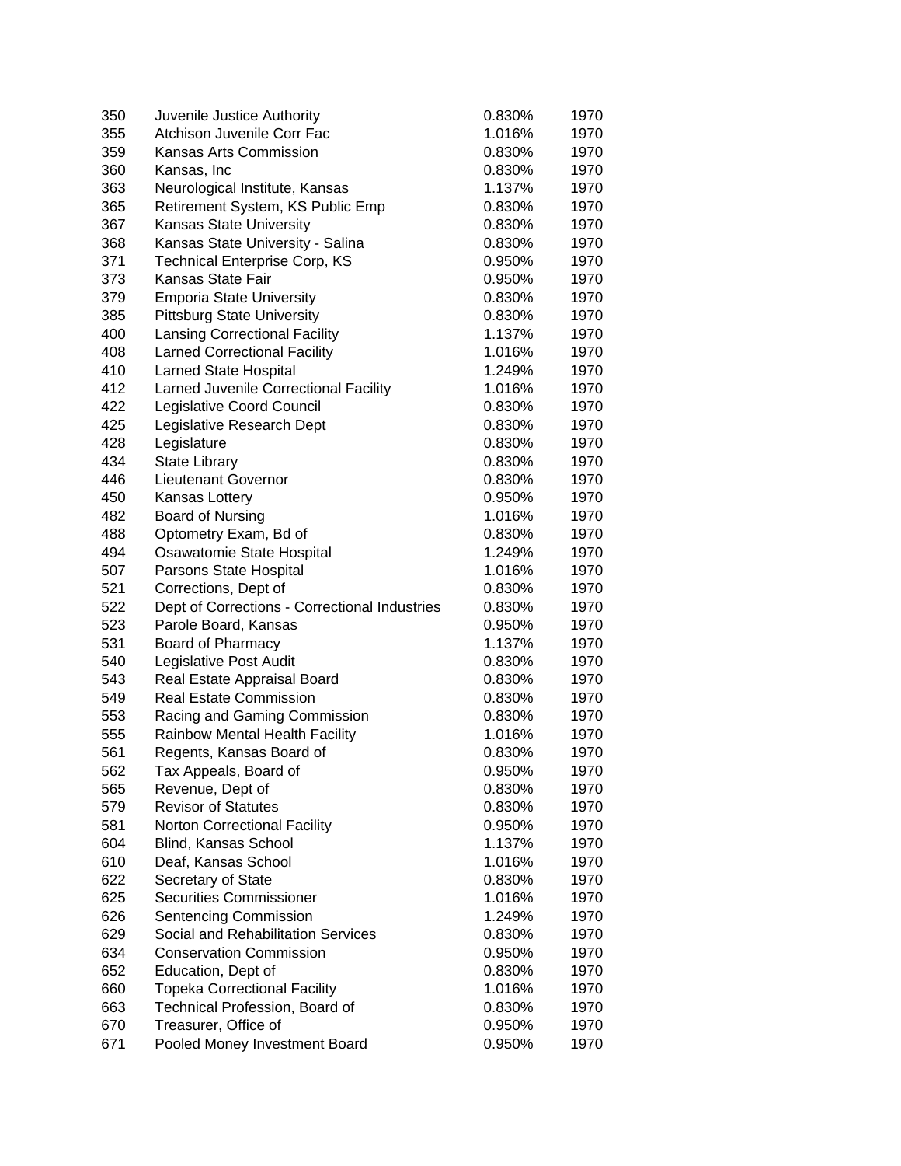| 350 | Juvenile Justice Authority                    | 0.830% | 1970 |
|-----|-----------------------------------------------|--------|------|
| 355 | Atchison Juvenile Corr Fac                    | 1.016% | 1970 |
| 359 | Kansas Arts Commission                        | 0.830% | 1970 |
| 360 | Kansas, Inc                                   | 0.830% | 1970 |
| 363 | Neurological Institute, Kansas                | 1.137% | 1970 |
| 365 | Retirement System, KS Public Emp              | 0.830% | 1970 |
| 367 | <b>Kansas State University</b>                | 0.830% | 1970 |
| 368 | Kansas State University - Salina              | 0.830% | 1970 |
| 371 | <b>Technical Enterprise Corp, KS</b>          | 0.950% | 1970 |
| 373 | Kansas State Fair                             | 0.950% | 1970 |
| 379 | <b>Emporia State University</b>               | 0.830% | 1970 |
| 385 | <b>Pittsburg State University</b>             | 0.830% | 1970 |
| 400 | <b>Lansing Correctional Facility</b>          | 1.137% | 1970 |
| 408 | <b>Larned Correctional Facility</b>           | 1.016% | 1970 |
| 410 | <b>Larned State Hospital</b>                  | 1.249% | 1970 |
| 412 | Larned Juvenile Correctional Facility         | 1.016% | 1970 |
| 422 | Legislative Coord Council                     | 0.830% | 1970 |
| 425 | Legislative Research Dept                     | 0.830% | 1970 |
| 428 | Legislature                                   | 0.830% | 1970 |
| 434 | <b>State Library</b>                          | 0.830% | 1970 |
| 446 | <b>Lieutenant Governor</b>                    | 0.830% | 1970 |
| 450 | Kansas Lottery                                | 0.950% | 1970 |
| 482 | Board of Nursing                              | 1.016% | 1970 |
| 488 | Optometry Exam, Bd of                         | 0.830% | 1970 |
| 494 | Osawatomie State Hospital                     | 1.249% | 1970 |
| 507 | Parsons State Hospital                        | 1.016% | 1970 |
| 521 | Corrections, Dept of                          | 0.830% | 1970 |
| 522 | Dept of Corrections - Correctional Industries | 0.830% | 1970 |
| 523 | Parole Board, Kansas                          | 0.950% | 1970 |
| 531 | Board of Pharmacy                             | 1.137% | 1970 |
| 540 | Legislative Post Audit                        | 0.830% | 1970 |
| 543 | Real Estate Appraisal Board                   | 0.830% | 1970 |
| 549 | <b>Real Estate Commission</b>                 | 0.830% | 1970 |
| 553 | Racing and Gaming Commission                  | 0.830% | 1970 |
| 555 | Rainbow Mental Health Facility                | 1.016% | 1970 |
| 561 | Regents, Kansas Board of                      | 0.830% | 1970 |
| 562 | Tax Appeals, Board of                         | 0.950% | 1970 |
| 565 | Revenue, Dept of                              | 0.830% | 1970 |
| 579 | <b>Revisor of Statutes</b>                    | 0.830% | 1970 |
| 581 | <b>Norton Correctional Facility</b>           | 0.950% | 1970 |
| 604 | Blind, Kansas School                          | 1.137% | 1970 |
| 610 | Deaf, Kansas School                           | 1.016% | 1970 |
| 622 | Secretary of State                            | 0.830% | 1970 |
| 625 | <b>Securities Commissioner</b>                | 1.016% | 1970 |
| 626 | Sentencing Commission                         | 1.249% | 1970 |
| 629 | Social and Rehabilitation Services            | 0.830% | 1970 |
| 634 | <b>Conservation Commission</b>                | 0.950% | 1970 |
| 652 | Education, Dept of                            | 0.830% | 1970 |
| 660 | <b>Topeka Correctional Facility</b>           | 1.016% | 1970 |
| 663 | Technical Profession, Board of                | 0.830% | 1970 |
| 670 | Treasurer, Office of                          | 0.950% | 1970 |
| 671 | Pooled Money Investment Board                 | 0.950% | 1970 |